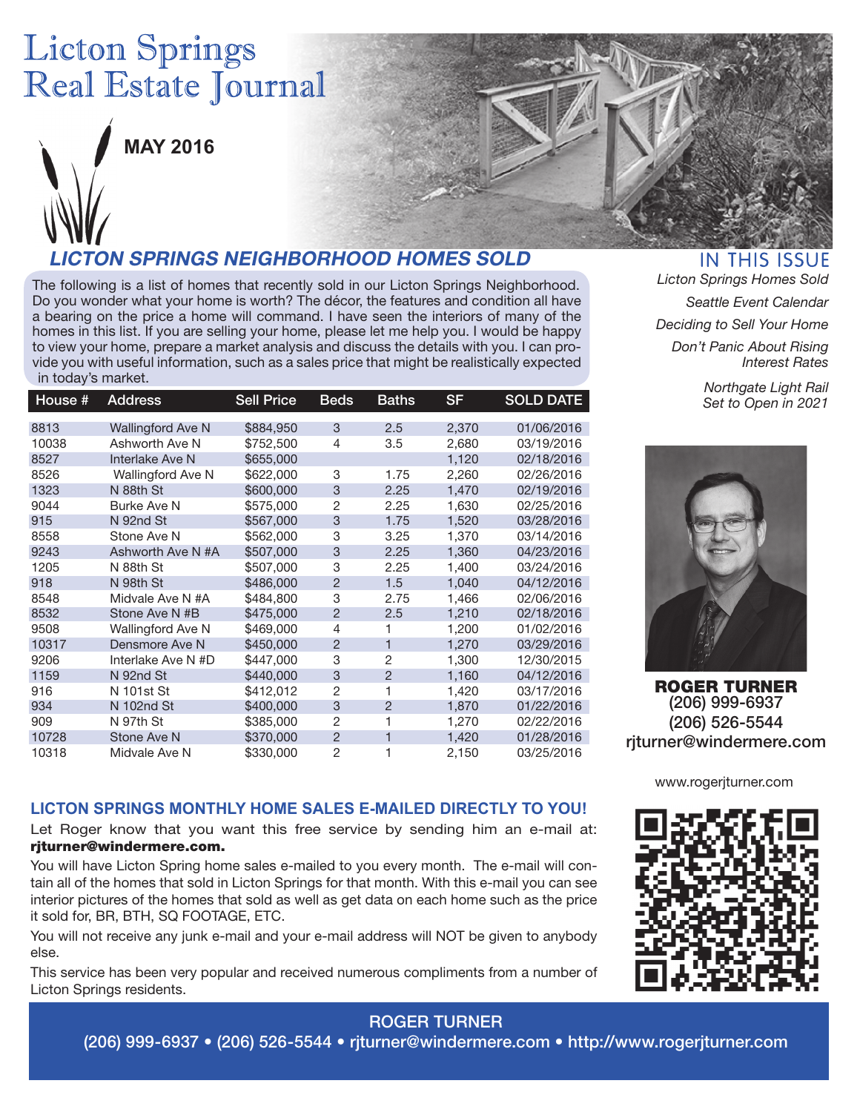# **Licton Springs** Real Estate Journal



**MAY 2016**

## **LICTON SPRINGS NEIGHBORHOOD HOMES SOLD**

The following is a list of homes that recently sold in our Licton Springs Neighborhood. Do you wonder what your home is worth? The décor, the features and condition all have a bearing on the price a home will command. I have seen the interiors of many of the homes in this list. If you are selling your home, please let me help you. I would be happy to view your home, prepare a market analysis and discuss the details with you. I can provide you with useful information, such as a sales price that might be realistically expected in today's market.

| House # | <b>Address</b>           | <b>Sell Price</b> | <b>Beds</b>    | Baths          | <b>SF</b> | <b>SOLD DATE</b> |
|---------|--------------------------|-------------------|----------------|----------------|-----------|------------------|
| 8813    | <b>Wallingford Ave N</b> | \$884,950         | 3              | 2.5            | 2,370     | 01/06/2016       |
| 10038   | Ashworth Ave N           | \$752,500         | 4              | 3.5            | 2,680     | 03/19/2016       |
| 8527    | Interlake Ave N          | \$655,000         |                |                | 1,120     | 02/18/2016       |
| 8526    | <b>Wallingford Ave N</b> | \$622,000         | 3              | 1.75           | 2.260     | 02/26/2016       |
| 1323    | N 88th St                | \$600,000         | 3              | 2.25           | 1,470     | 02/19/2016       |
| 9044    | <b>Burke Ave N</b>       | \$575,000         | $\overline{2}$ | 2.25           | 1,630     | 02/25/2016       |
| 915     | N 92nd St                | \$567,000         | 3              | 1.75           | 1,520     | 03/28/2016       |
| 8558    | Stone Ave N              | \$562,000         | 3              | 3.25           | 1,370     | 03/14/2016       |
| 9243    | Ashworth Ave N #A        | \$507,000         | 3              | 2.25           | 1,360     | 04/23/2016       |
| 1205    | N 88th St                | \$507,000         | 3              | 2.25           | 1,400     | 03/24/2016       |
| 918     | N 98th St                | \$486,000         | $\overline{2}$ | 1.5            | 1,040     | 04/12/2016       |
| 8548    | Midvale Ave N #A         | \$484.800         | 3              | 2.75           | 1.466     | 02/06/2016       |
| 8532    | Stone Ave N #B           | \$475,000         | $\overline{2}$ | 2.5            | 1,210     | 02/18/2016       |
| 9508    | Wallingford Ave N        | \$469,000         | 4              | 1              | 1,200     | 01/02/2016       |
| 10317   | Densmore Ave N           | \$450,000         | $\overline{2}$ | 1              | 1,270     | 03/29/2016       |
| 9206    | Interlake Ave N #D       | \$447,000         | 3              | $\overline{2}$ | 1,300     | 12/30/2015       |
| 1159    | N 92nd St                | \$440,000         | 3              | $\overline{2}$ | 1,160     | 04/12/2016       |
| 916     | N 101st St               | \$412,012         | 2              | 1              | 1,420     | 03/17/2016       |
| 934     | N 102nd St               | \$400,000         | 3              | $\overline{2}$ | 1,870     | 01/22/2016       |
| 909     | N 97th St                | \$385,000         | $\overline{2}$ | 1              | 1,270     | 02/22/2016       |
| 10728   | Stone Ave N              | \$370,000         | $\overline{2}$ | 1              | 1,420     | 01/28/2016       |
| 10318   | Midvale Ave N            | \$330,000         | $\overline{2}$ | 1              | 2,150     | 03/25/2016       |

**IN THIS ISSUE** *Licton Springs Homes Sold Seattle Event Calendar Deciding to Sell Your Home Don't Panic About Rising* 

> *Northgate Light Rail Set to Open in 2021*

*Interest Rates*



ROGER TURNER (206) 999-6937 (206) 526-5544 rjturner@windermere.com

#### **LICTON SPRINGS MONTHLY HOME SALES E-MAILED DIRECTLY TO YOU!**

Let Roger know that you want this free service by sending him an e-mail at: rjturner@windermere.com.

You will have Licton Spring home sales e-mailed to you every month. The e-mail will contain all of the homes that sold in Licton Springs for that month. With this e-mail you can see interior pictures of the homes that sold as well as get data on each home such as the price it sold for, BR, BTH, SQ FOOTAGE, ETC.

You will not receive any junk e-mail and your e-mail address will NOT be given to anybody else.

This service has been very popular and received numerous compliments from a number of Licton Springs residents.

www.rogerjturner.com



### ROGER TURNER

(206) 999-6937 • (206) 526-5544 • rjturner@windermere.com • http://www.rogerjturner.com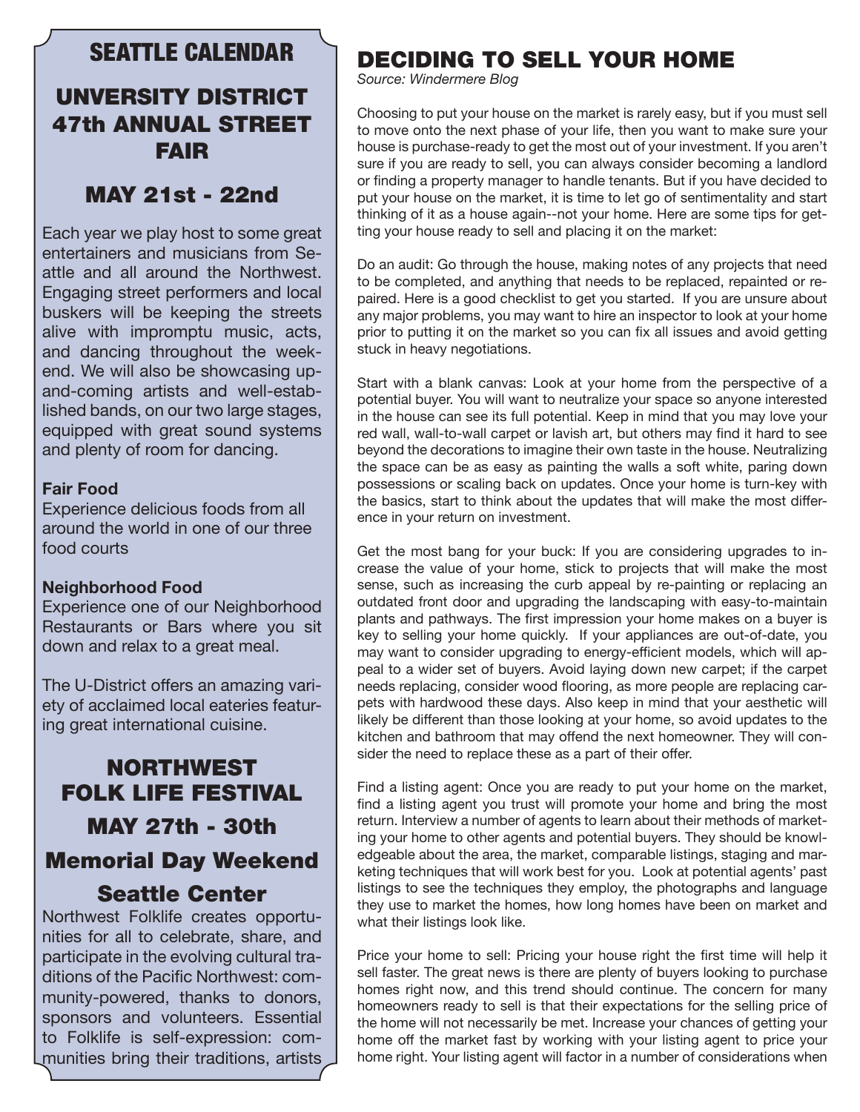### SEATTLE CALENDAR

### UNVERSITY DISTRICT 47th ANNUAL STREET FAIR

### MAY 21st - 22nd

Each year we play host to some great entertainers and musicians from Seattle and all around the Northwest. Engaging street performers and local buskers will be keeping the streets alive with impromptu music, acts, and dancing throughout the weekend. We will also be showcasing upand-coming artists and well-established bands, on our two large stages, equipped with great sound systems and plenty of room for dancing.

#### **Fair Food**

Experience delicious foods from all around the world in one of our three food courts

#### **Neighborhood Food**

Experience one of our Neighborhood Restaurants or Bars where you sit down and relax to a great meal.

The U-District offers an amazing variety of acclaimed local eateries featuring great international cuisine.

# NORTHWEST FOLK LIFE FESTIVAL MAY 27th - 30th Memorial Day Weekend Seattle Center

Northwest Folklife creates opportunities for all to celebrate, share, and participate in the evolving cultural traditions of the Pacific Northwest: community-powered, thanks to donors, sponsors and volunteers. Essential to Folklife is self-expression: communities bring their traditions, artists

### DECIDING TO SELL YOUR HOME

*Source: Windermere Blog*

Choosing to put your house on the market is rarely easy, but if you must sell to move onto the next phase of your life, then you want to make sure your house is purchase-ready to get the most out of your investment. If you aren't sure if you are ready to sell, you can always consider becoming a landlord or finding a property manager to handle tenants. But if you have decided to put your house on the market, it is time to let go of sentimentality and start thinking of it as a house again--not your home. Here are some tips for getting your house ready to sell and placing it on the market:

Do an audit: Go through the house, making notes of any projects that need to be completed, and anything that needs to be replaced, repainted or repaired. Here is a good checklist to get you started. If you are unsure about any major problems, you may want to hire an inspector to look at your home prior to putting it on the market so you can fix all issues and avoid getting stuck in heavy negotiations.

Start with a blank canvas: Look at your home from the perspective of a potential buyer. You will want to neutralize your space so anyone interested in the house can see its full potential. Keep in mind that you may love your red wall, wall-to-wall carpet or lavish art, but others may find it hard to see beyond the decorations to imagine their own taste in the house. Neutralizing the space can be as easy as painting the walls a soft white, paring down possessions or scaling back on updates. Once your home is turn-key with the basics, start to think about the updates that will make the most difference in your return on investment.

Get the most bang for your buck: If you are considering upgrades to increase the value of your home, stick to projects that will make the most sense, such as increasing the curb appeal by re-painting or replacing an outdated front door and upgrading the landscaping with easy-to-maintain plants and pathways. The first impression your home makes on a buyer is key to selling your home quickly. If your appliances are out-of-date, you may want to consider upgrading to energy-efficient models, which will appeal to a wider set of buyers. Avoid laying down new carpet; if the carpet needs replacing, consider wood flooring, as more people are replacing carpets with hardwood these days. Also keep in mind that your aesthetic will likely be different than those looking at your home, so avoid updates to the kitchen and bathroom that may offend the next homeowner. They will consider the need to replace these as a part of their offer.

Find a listing agent: Once you are ready to put your home on the market, find a listing agent you trust will promote your home and bring the most return. Interview a number of agents to learn about their methods of marketing your home to other agents and potential buyers. They should be knowledgeable about the area, the market, comparable listings, staging and marketing techniques that will work best for you. Look at potential agents' past listings to see the techniques they employ, the photographs and language they use to market the homes, how long homes have been on market and what their listings look like.

Price your home to sell: Pricing your house right the first time will help it sell faster. The great news is there are plenty of buyers looking to purchase homes right now, and this trend should continue. The concern for many homeowners ready to sell is that their expectations for the selling price of the home will not necessarily be met. Increase your chances of getting your home off the market fast by working with your listing agent to price your home right. Your listing agent will factor in a number of considerations when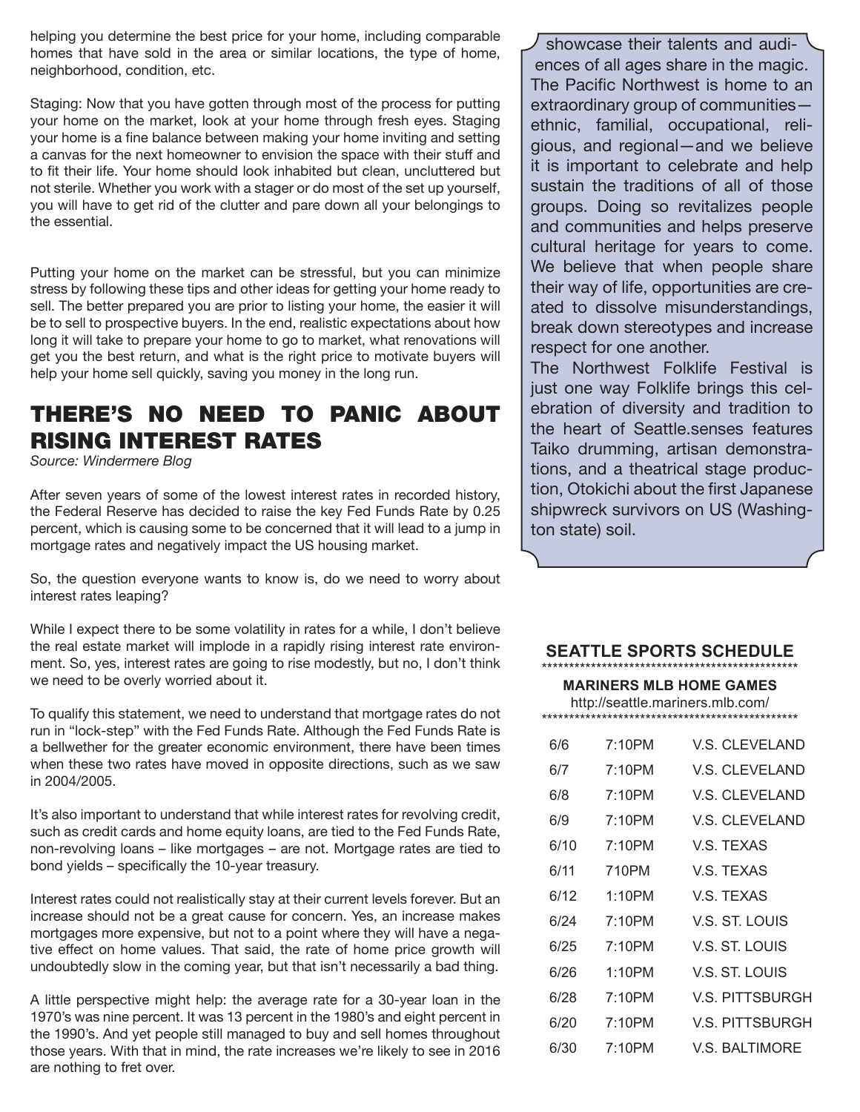helping you determine the best price for your home, including comparable homes that have sold in the area or similar locations, the type of home, neighborhood, condition, etc.

Staging: Now that you have gotten through most of the process for putting your home on the market, look at your home through fresh eyes. Staging your home is a fine balance between making your home inviting and setting a canvas for the next homeowner to envision the space with their stuff and to fit their life. Your home should look inhabited but clean, uncluttered but not sterile. Whether you work with a stager or do most of the set up yourself, you will have to get rid of the clutter and pare down all your belongings to the essential.

Putting your home on the market can be stressful, but you can minimize stress by following these tips and other ideas for getting your home ready to sell. The better prepared you are prior to listing your home, the easier it will be to sell to prospective buyers. In the end, realistic expectations about how long it will take to prepare your home to go to market, what renovations will get you the best return, and what is the right price to motivate buyers will help your home sell quickly, saving you money in the long run.

# THERE'S NO NEED TO PANIC ABOUT RISING INTEREST RATES

*Source: Windermere Blog*

After seven years of some of the lowest interest rates in recorded history, the Federal Reserve has decided to raise the key Fed Funds Rate by 0.25 percent, which is causing some to be concerned that it will lead to a jump in mortgage rates and negatively impact the US housing market.

So, the question everyone wants to know is, do we need to worry about interest rates leaping?

While I expect there to be some volatility in rates for a while, I don't believe the real estate market will implode in a rapidly rising interest rate environment. So, yes, interest rates are going to rise modestly, but no, I don't think we need to be overly worried about it.

To qualify this statement, we need to understand that mortgage rates do not run in "lock-step" with the Fed Funds Rate. Although the Fed Funds Rate is a bellwether for the greater economic environment, there have been times when these two rates have moved in opposite directions, such as we saw in 2004/2005.

It's also important to understand that while interest rates for revolving credit, such as credit cards and home equity loans, are tied to the Fed Funds Rate, non-revolving loans – like mortgages – are not. Mortgage rates are tied to bond yields – specifically the 10-year treasury.

Interest rates could not realistically stay at their current levels forever. But an increase should not be a great cause for concern. Yes, an increase makes mortgages more expensive, but not to a point where they will have a negative effect on home values. That said, the rate of home price growth will undoubtedly slow in the coming year, but that isn't necessarily a bad thing.

A little perspective might help: the average rate for a 30-year loan in the 1970's was nine percent. It was 13 percent in the 1980's and eight percent in the 1990's. And yet people still managed to buy and sell homes throughout those years. With that in mind, the rate increases we're likely to see in 2016 are nothing to fret over.

showcase their talents and audiences of all ages share in the magic. The Pacific Northwest is home to an extraordinary group of communities ethnic, familial, occupational, religious, and regional—and we believe it is important to celebrate and help sustain the traditions of all of those groups. Doing so revitalizes people and communities and helps preserve cultural heritage for years to come. We believe that when people share their way of life, opportunities are created to dissolve misunderstandings, break down stereotypes and increase respect for one another.

The Northwest Folklife Festival is just one way Folklife brings this celebration of diversity and tradition to the heart of Seattle.senses features Taiko drumming, artisan demonstrations, and a theatrical stage production, Otokichi about the first Japanese shipwreck survivors on US (Washington state) soil.

#### **SEATTLE SPORTS SCHEDULE**

### \*\*\*\*\*\*\*\*\*\*\*\*\*\*\*\*\*\*\*\*\*\*\*\*\*\*\*\*\*\*\*\*\*\*\*\*\*\*\*\*\*\*\*\*\*\*\* **MARINERS MLB HOME GAMES** http://seattle.mariners.mlb.com/ \*\*\*\*\*\*\*\*\*\*\*\*\*\*\*\*\*\*\*\*\*\*\*\*\*\*\*\*\*\*\*\*\*\*\*\*\*\*\*\*\*\*\*\*\*\*\* 6/6 7:10PM V.S. CLEVELAND

| 6/7  | 7:10PM | <b>V.S. CLEVELAND</b> |
|------|--------|-----------------------|
| 6/8  | 7:10PM | V.S. CLEVELAND        |
| 6/9  | 7:10PM | V.S. CLEVELAND        |
| 6/10 | 7:10PM | V.S. TEXAS            |
| 6/11 | 710PM  | VS TFXAS              |
| 6/12 | 1:10PM | V.S. TEXAS            |
| 6/24 | 7:10PM | V.S. ST. LOUIS        |
| 6/25 | 7:10PM | V.S. ST. LOUIS        |
| 6/26 | 1:10PM | V.S. ST. LOUIS        |
| 6/28 | 7:10PM | V.S. PITTSBURGH       |
| 6/20 | 7:10PM | V.S. PITTSBURGH       |
| 6/30 | 7:10PM | V.S. BALTIMORE        |